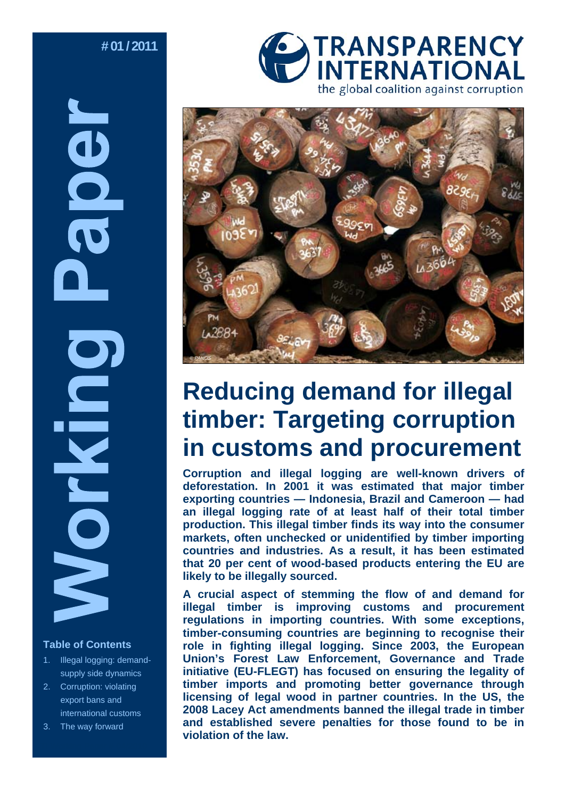# **# 01 / 2011**

# **OOC RUNA** S

#### **Table of Contents**

- 1. Illegal logging: demandsupply side dynamics
- 2. Corruption: violating export bans and international customs
- The way forward





# **Reducing demand for illegal timber: Targeting corruption in customs and procurement**

**Corruption and illegal logging are well-known drivers of deforestation. In 2001 it was estimated that major timber exporting countries — Indonesia, Brazil and Cameroon — had an illegal logging rate of at least half of their total timber production. This illegal timber finds its way into the consumer markets, often unchecked or unidentified by timber importing countries and industries. As a result, it has been estimated that 20 per cent of wood-based products entering the EU are likely to be illegally sourced.** 

**A crucial aspect of stemming the flow of and demand for illegal timber is improving customs and procurement regulations in importing countries. With some exceptions, timber-consuming countries are beginning to recognise their role in fighting illegal logging. Since 2003, the European Union's Forest Law Enforcement, Governance and Trade initiative (EU-FLEGT) has focused on ensuring the legality of timber imports and promoting better governance through licensing of legal wood in partner countries. In the US, the 2008 Lacey Act amendments banned the illegal trade in timber and established severe penalties for those found to be in violation of the law.**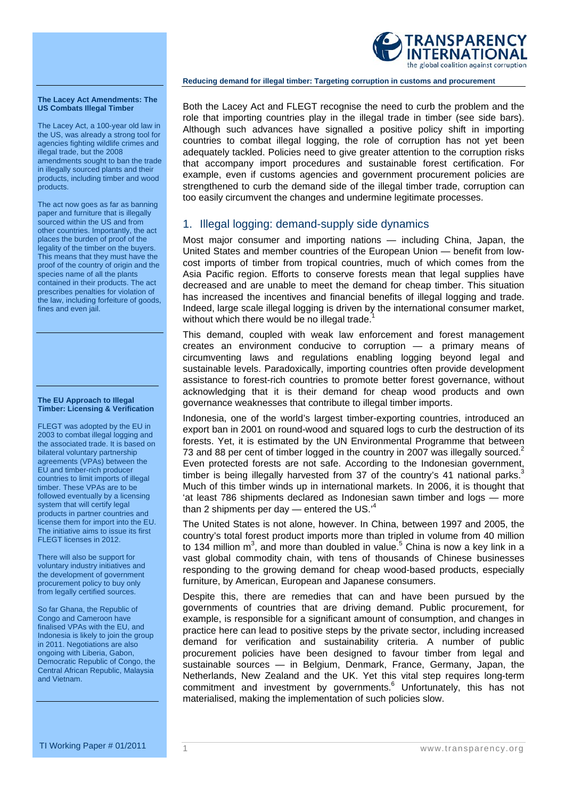

#### **The Lacey Act Amendments: The US Combats Illegal Timber**

The Lacey Act, a 100-year old law in the US, was already a strong tool for agencies fighting wildlife crimes and illegal trade, but the 2008 amendments sought to ban the trade in illegally sourced plants and their products, including timber and wood products.

The act now goes as far as banning paper and furniture that is illegally sourced within the US and from other countries. Importantly, the act places the burden of proof of the legality of the timber on the buyers. This means that they must have the proof of the country of origin and the species name of all the plants contained in their products. The act prescribes penalties for violation of the law, including forfeiture of goods, fines and even jail.

#### **The EU Approach to Illegal Timber: Licensing & Verification**

FLEGT was adopted by the EU in 2003 to combat illegal logging and the associated trade. It is based on bilateral voluntary partnership agreements (VPAs) between the EU and timber-rich producer countries to limit imports of illegal timber. These VPAs are to be followed eventually by a licensing system that will certify legal products in partner countries and license them for import into the EU. The initiative aims to issue its first FLEGT licenses in 2012.

There will also be support for voluntary industry initiatives and the development of government procurement policy to buy only from legally certified sources.

So far Ghana, the Republic of Congo and Cameroon have finalised VPAs with the EU, and Indonesia is likely to join the group in 2011. Negotiations are also ongoing with Liberia, Gabon, Democratic Republic of Congo, the Central African Republic, Malaysia and Vietnam.

Both the Lacey Act and FLEGT recognise the need to curb the problem and the role that importing countries play in the illegal trade in timber (see side bars). Although such advances have signalled a positive policy shift in importing countries to combat illegal logging, the role of corruption has not yet been adequately tackled. Policies need to give greater attention to the corruption risks that accompany import procedures and sustainable forest certification. For example, even if customs agencies and government procurement policies are strengthened to curb the demand side of the illegal timber trade, corruption can too easily circumvent the changes and undermine legitimate processes.

# 1. Illegal logging: demand-supply side dynamics

Most major consumer and importing nations — including China, Japan, the United States and member countries of the European Union — benefit from lowcost imports of timber from tropical countries, much of which comes from the Asia Pacific region. Efforts to conserve forests mean that legal supplies have decreased and are unable to meet the demand for cheap timber. This situation has increased the incentives and financial benefits of illegal logging and trade. Indeed, large scale illegal logging is driven by the international consumer market, without which there would be no illegal trade.<sup>1</sup>

This demand, coupled with weak law enforcement and forest management creates an environment conducive to corruption — a primary means of circumventing laws and regulations enabling logging beyond legal and sustainable levels. Paradoxically, importing countries often provide development assistance to forest-rich countries to promote better forest governance, without acknowledging that it is their demand for cheap wood products and own governance weaknesses that contribute to illegal timber imports.

Indonesia, one of the world's largest timber-exporting countries, introduced an export ban in 2001 on round-wood and squared logs to curb the destruction of its forests. Yet, it is estimated by the UN Environmental Programme that between 73 and 88 per cent of timber logged in the country in 2007 was illegally sourced.<sup>2</sup> Even protected forests are not safe. According to the Indonesian government, timber is being illegally harvested from 37 of the country's 41 national parks.<sup>3</sup> Much of this timber winds up in international markets. In 2006, it is thought that 'at least 786 shipments declared as Indonesian sawn timber and logs — more than 2 shipments per day  $-$  entered the US. $<sup>4</sup>$ </sup>

The United States is not alone, however. In China, between 1997 and 2005, the country's total forest product imports more than tripled in volume from 40 million to 134 million m<sup>3</sup>, and more than doubled in value.<sup>5</sup> China is now a key link in a vast global commodity chain, with tens of thousands of Chinese businesses responding to the growing demand for cheap wood-based products, especially furniture, by American, European and Japanese consumers.

Despite this, there are remedies that can and have been pursued by the governments of countries that are driving demand. Public procurement, for example, is responsible for a significant amount of consumption, and changes in practice here can lead to positive steps by the private sector, including increased demand for verification and sustainability criteria. A number of public procurement policies have been designed to favour timber from legal and sustainable sources — in Belgium, Denmark, France, Germany, Japan, the Netherlands, New Zealand and the UK. Yet this vital step requires long-term commitment and investment by governments.<sup>6</sup> Unfortunately, this has not materialised, making the implementation of such policies slow.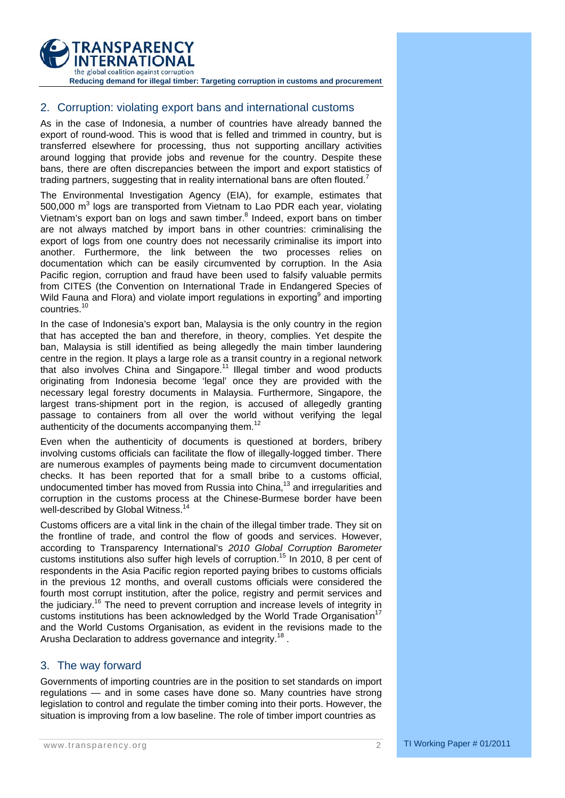

## 2. Corruption: violating export bans and international customs

As in the case of Indonesia, a number of countries have already banned the export of round-wood. This is wood that is felled and trimmed in country, but is transferred elsewhere for processing, thus not supporting ancillary activities around logging that provide jobs and revenue for the country. Despite these bans, there are often discrepancies between the import and export statistics of trading partners, suggesting that in reality international bans are often flouted.<sup>7</sup>

The Environmental Investigation Agency (EIA), for example, estimates that 500,000 m<sup>3</sup> logs are transported from Vietnam to Lao PDR each year, violating Vietnam's export ban on logs and sawn timber.<sup>8</sup> Indeed, export bans on timber are not always matched by import bans in other countries: criminalising the export of logs from one country does not necessarily criminalise its import into another. Furthermore, the link between the two processes relies on documentation which can be easily circumvented by corruption. In the Asia Pacific region, corruption and fraud have been used to falsify valuable permits from CITES (the Convention on International Trade in Endangered Species of Wild Fauna and Flora) and violate import regulations in exporting<sup>9</sup> and importing countries.<sup>10</sup>

In the case of Indonesia's export ban, Malaysia is the only country in the region that has accepted the ban and therefore, in theory, complies. Yet despite the ban, Malaysia is still identified as being allegedly the main timber laundering centre in the region. It plays a large role as a transit country in a regional network that also involves China and Singapore.<sup>11</sup> Illegal timber and wood products originating from Indonesia become 'legal' once they are provided with the necessary legal forestry documents in Malaysia. Furthermore, Singapore, the largest trans-shipment port in the region, is accused of allegedly granting passage to containers from all over the world without verifying the legal authenticity of the documents accompanying them.<sup>12</sup>

Even when the authenticity of documents is questioned at borders, bribery involving customs officials can facilitate the flow of illegally-logged timber. There are numerous examples of payments being made to circumvent documentation checks. It has been reported that for a small bribe to a customs official, undocumented timber has moved from Russia into China,<sup>13</sup> and irregularities and corruption in the customs process at the Chinese-Burmese border have been well-described by Global Witness.<sup>14</sup>

Customs officers are a vital link in the chain of the illegal timber trade. They sit on the frontline of trade, and control the flow of goods and services. However, according to Transparency International's *2010 Global Corruption Barometer* customs institutions also suffer high levels of corruption.<sup>15</sup> In 2010, 8 per cent of respondents in the Asia Pacific region reported paying bribes to customs officials in the previous 12 months, and overall customs officials were considered the fourth most corrupt institution, after the police, registry and permit services and the judiciary.16 The need to prevent corruption and increase levels of integrity in customs institutions has been acknowledged by the World Trade Organisation<sup>17</sup> and the World Customs Organisation, as evident in the revisions made to the Arusha Declaration to address governance and integrity.<sup>18</sup>.

### 3. The way forward

Governments of importing countries are in the position to set standards on import regulations — and in some cases have done so. Many countries have strong legislation to control and regulate the timber coming into their ports. However, the situation is improving from a low baseline. The role of timber import countries as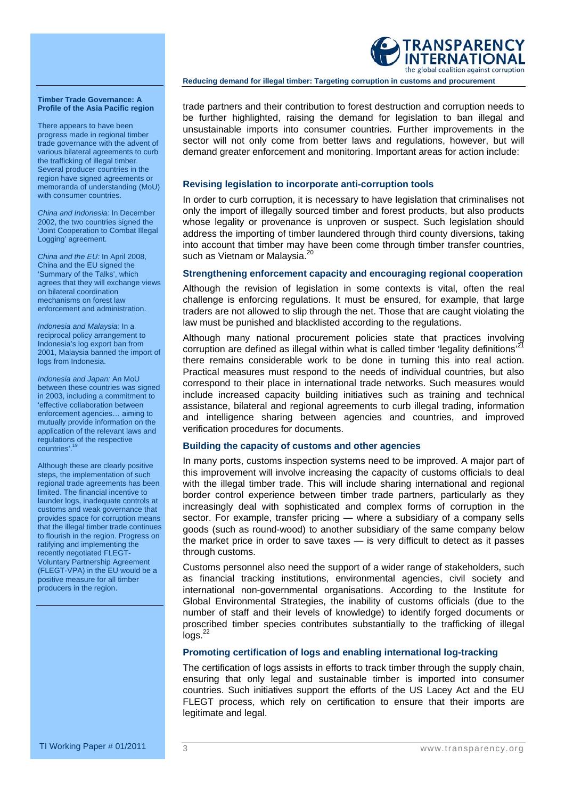

There appears to have been progress made in regional timber trade governance with the advent of various bilateral agreements to curb the trafficking of illegal timber. Several producer countries in the region have signed agreements or memoranda of understanding (MoU) with consumer countries.

*China and Indonesia:* In December 2002, the two countries signed the 'Joint Cooperation to Combat Illegal Logging' agreement.

*China and the EU:* In April 2008, China and the EU signed the 'Summary of the Talks', which agrees that they will exchange views on bilateral coordination mechanisms on forest law enforcement and administration.

*Indonesia and Malaysia:* In a reciprocal policy arrangement to Indonesia's log export ban from 2001, Malaysia banned the import of logs from Indonesia.

*Indonesia and Japan:* An MoU between these countries was signed in 2003, including a commitment to 'effective collaboration between enforcement agencies… aiming to mutually provide information on the application of the relevant laws and regulations of the respective countries'.<sup>1</sup>

Although these are clearly positive steps, the implementation of such regional trade agreements has been limited. The financial incentive to launder logs, inadequate controls at customs and weak governance that provides space for corruption means that the illegal timber trade continues to flourish in the region. Progress on ratifying and implementing the recently negotiated FLEGT-Voluntary Partnership Agreement (FLEGT-VPA) in the EU would be a positive measure for all timber producers in the region.

trade partners and their contribution to forest destruction and corruption needs to be further highlighted, raising the demand for legislation to ban illegal and unsustainable imports into consumer countries. Further improvements in the sector will not only come from better laws and regulations, however, but will demand greater enforcement and monitoring. Important areas for action include:

TRANSPARENCY INTERNATIONAL the global coalition against corruption

**Reducing demand for illegal timber: Targeting corruption in customs and procurement** 

#### **Revising legislation to incorporate anti-corruption tools**

In order to curb corruption, it is necessary to have legislation that criminalises not only the import of illegally sourced timber and forest products, but also products whose legality or provenance is unproven or suspect. Such legislation should address the importing of timber laundered through third county diversions, taking into account that timber may have been come through timber transfer countries, such as Vietnam or Malaysia.<sup>20</sup>

#### **Strengthening enforcement capacity and encouraging regional cooperation**

Although the revision of legislation in some contexts is vital, often the real challenge is enforcing regulations. It must be ensured, for example, that large traders are not allowed to slip through the net. Those that are caught violating the law must be punished and blacklisted according to the regulations.

Although many national procurement policies state that practices involving corruption are defined as illegal within what is called timber 'legality definitions' $^{21}$ there remains considerable work to be done in turning this into real action. Practical measures must respond to the needs of individual countries, but also correspond to their place in international trade networks. Such measures would include increased capacity building initiatives such as training and technical assistance, bilateral and regional agreements to curb illegal trading, information and intelligence sharing between agencies and countries, and improved verification procedures for documents.

#### **Building the capacity of customs and other agencies**

In many ports, customs inspection systems need to be improved. A major part of this improvement will involve increasing the capacity of customs officials to deal with the illegal timber trade. This will include sharing international and regional border control experience between timber trade partners, particularly as they increasingly deal with sophisticated and complex forms of corruption in the sector. For example, transfer pricing — where a subsidiary of a company sells goods (such as round-wood) to another subsidiary of the same company below the market price in order to save taxes — is very difficult to detect as it passes through customs.

Customs personnel also need the support of a wider range of stakeholders, such as financial tracking institutions, environmental agencies, civil society and international non-governmental organisations. According to the Institute for Global Environmental Strategies, the inability of customs officials (due to the number of staff and their levels of knowledge) to identify forged documents or proscribed timber species contributes substantially to the trafficking of illegal  $log s.<sup>22</sup>$ 

#### **Promoting certification of logs and enabling international log-tracking**

The certification of logs assists in efforts to track timber through the supply chain, ensuring that only legal and sustainable timber is imported into consumer countries. Such initiatives support the efforts of the US Lacey Act and the EU FLEGT process, which rely on certification to ensure that their imports are legitimate and legal.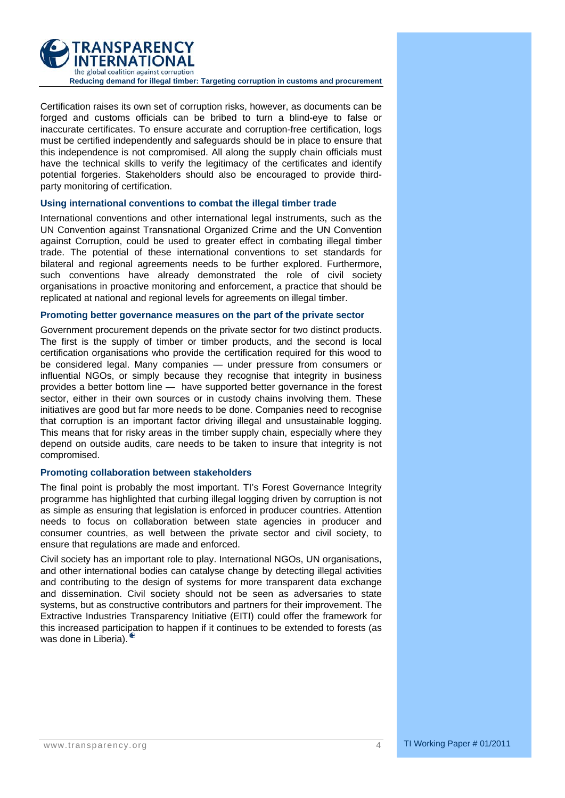

Certification raises its own set of corruption risks, however, as documents can be forged and customs officials can be bribed to turn a blind-eye to false or inaccurate certificates. To ensure accurate and corruption-free certification, logs must be certified independently and safeguards should be in place to ensure that this independence is not compromised. All along the supply chain officials must have the technical skills to verify the legitimacy of the certificates and identify potential forgeries. Stakeholders should also be encouraged to provide thirdparty monitoring of certification.

#### **Using international conventions to combat the illegal timber trade**

International conventions and other international legal instruments, such as the UN Convention against Transnational Organized Crime and the UN Convention against Corruption, could be used to greater effect in combating illegal timber trade. The potential of these international conventions to set standards for bilateral and regional agreements needs to be further explored. Furthermore, such conventions have already demonstrated the role of civil society organisations in proactive monitoring and enforcement, a practice that should be replicated at national and regional levels for agreements on illegal timber.

#### **Promoting better governance measures on the part of the private sector**

Government procurement depends on the private sector for two distinct products. The first is the supply of timber or timber products, and the second is local certification organisations who provide the certification required for this wood to be considered legal. Many companies — under pressure from consumers or influential NGOs, or simply because they recognise that integrity in business provides a better bottom line — have supported better governance in the forest sector, either in their own sources or in custody chains involving them. These initiatives are good but far more needs to be done. Companies need to recognise that corruption is an important factor driving illegal and unsustainable logging. This means that for risky areas in the timber supply chain, especially where they depend on outside audits, care needs to be taken to insure that integrity is not compromised.

#### **Promoting collaboration between stakeholders**

The final point is probably the most important. TI's Forest Governance Integrity programme has highlighted that curbing illegal logging driven by corruption is not as simple as ensuring that legislation is enforced in producer countries. Attention needs to focus on collaboration between state agencies in producer and consumer countries, as well between the private sector and civil society, to ensure that regulations are made and enforced.

Civil society has an important role to play. International NGOs, UN organisations, and other international bodies can catalyse change by detecting illegal activities and contributing to the design of systems for more transparent data exchange and dissemination. Civil society should not be seen as adversaries to state systems, but as constructive contributors and partners for their improvement. The Extractive Industries Transparency Initiative (EITI) could offer the framework for this increased participation to happen if it continues to be extended to forests (as was done in Liberia).